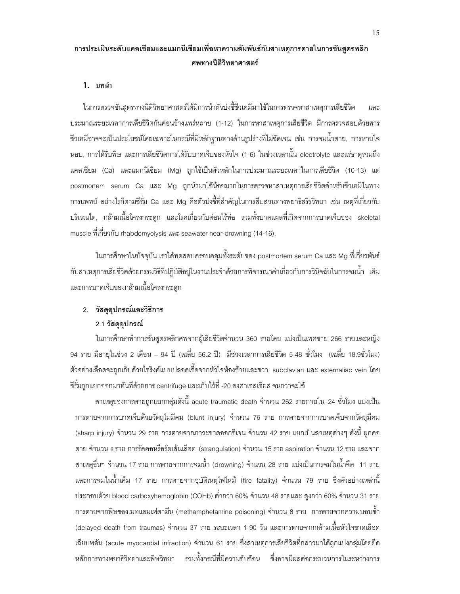# การประเมินระดับแคลเซียมและแมกนีเซียมเพื่อหาความสัมพันธ์กับสาเหตุการตายในการชันสูตรพลิก ศพทางนิติวิทยาศาสตร์

#### **1. บทนำ**

ในการตรวจชันสูตรทางนิติวิทยาศาสตร์ได้มีการนำตัวบ่งชี้ชีวเคมีมาใช้ในการตรวจหาสาเหตุการเสียชีวิต และ ประมาณระยะเวลาการเสียชีวิตกันค่อนข้างแพร่หลาย (1-12) ในการหาสาเหตุการเสียชีวิต มีการตรวจสอบด้วยสาร ชื่วเคมีอาจจะเป็นประโยชน์โดยเฉพาะในกรณีที่มีหลักฐานทางด้านรูปร่างที่ไม่ชัดเจน เช่น การจมน้ำตาย, การหายใจ หอบ, การได้รับพิษ และการเสียชีวิตการได้รับบาดเจ็บของหัวใจ (1-6) ในช่วงเวลานั้น electrolyte และแร่ธาตุรวมถึง แคลเซียม (Ca) และแมกนีเซียม (Mg) ถูกใช้เป็นตัวหลักในการประมาณระยะเวลาในการเสียชีวิต (10-13) แต่ postmortem serum Ca และ Mg ถูกนำมาใช้น้อยมากในการตรวจหาสาเหตุการเสียชีวิตสำหรับชีวเคมีในทาง การแพทย์ อย่างไรก็ตามซีรั่ม Ca และ Mg คือตัวบ่งชี้ที่สำคัญในการสืบสวนทางพยาธิสรีรวิทยา เช่น เหตุที่เกี่ยวกับ บริเวณไต, กล้ามเนื้อโครงกระดูก และโรคเกี่ยวกับต่อมไร้ท่อ รวมทั้งบาดแผลที่เกิดจากการบาดเจ็บของ skeletal muscle ที่เกี่ยวกับ rhabdomyolysis และ seawater near-drowning (14-16).

ในการศึกษาในปัจจุบัน เราได้ทดสอบครอบคลุมทั้งระดับของ postmortem serum Ca และ Mg ที่เกี่ยวพันธ์ ้กับสาเหตุการเสียชีวิตด้วยกรรมวิธีที่ปฏิบัติอยู่ในงานประจำด้วยการพิจารณาค่าเกี่ยวกับการวินิจฉัยในการจมน้ำ เค็ม และการบาดเจ็บของกล้ามเนื้อโครงกระดูก

## 2. วัสดุอุปกรณ์และวิธีการ

## 2.1 วัสดุอุปกรณ์

ในการศึกษาทำการชั้นสูตรพลิกศพจากผู้เสียชีวิตจำนวน 360 รายโดย แบ่งเป็นเพศชาย 266 รายและหญิง 94 ราย มีอายุในช่วง 2 เดือน – 94 ปี (เฉลี่ย 56.2 ปี) มีช่วงเวลาการเสียชีวิต 5-48 ชั่วโมง (เฉลี่ย 18.9ชั่วโมง) ตัวอย่างเลือดจะถูกเก็บด้วยไซริงค์แบบปลอดเชื้อจากหัวใจห้องซ้ายและขวา, subclavian และ externaliac vein โดย ซี่รั่มถูกแยกออกมาทันที่ด้วยการ centrifuge และเก็บไว้ที่ -20 องศาเซลเซียส จนกว่าจะใช้

ี สาเหตุของการตายถูกแยกกลุ่มดังนี้ acute traumatic death จำนวน 262 รายภายใน 24 ชั่วโมง แบ่งเป็น ิการตายจากการบาดเจ็บด้วยวัตถุไม่มีคม (blunt injury) จำนวน 76 ราย การตายจากการบาดเจ็บจากวัตถุมีคม (sharp injury) จำนวน 29 ราย การตายจากภาวะขาดออกซิเจน จำนวน 42 ราย แยกเป็นสาเหตุต่างๆ ดังนี้ ผูกคอ ตาย จำนวน 8 ราย การรัดคอหรือรัดเส้นเลือด (strangulation) จำนวน 15 ราย aspiration จำนวน 12 ราย และจาก ี สาเหตุอื่นๆ จำนวน 17 ราย การตายจากการจมน้ำ (drowning) จำนวน 28 ราย แบ่งเป็นการจมในน้ำจืด 11 ราย ี และการจมในน้ำเค็ม 17 ราย การตายจากคุบัติเหตุไฟไหม้ (fire fatality) จำนวน 79 ราย ซึ่งตัวอย่างเหล่านี้ ู ประกอบด้วย blood carboxyhemoglobin (COHb) ต่ำกว่า 60% จำนวน 48 รายและ สูงกว่า 60% จำนวน 31 ราย ิการตายจากพิษของเมทแอมเฟตามีน (methamphetamine poisoning) จำนวน 8 ราย การตายจากความบอบช้ำ (delayed death from traumas) จำนวน 37 ราย ระยะเวลา 1-90 วัน และการตายจากกล้ามเนื้อหัวใจขาดเลือด ้เฉียบพลัน (acute myocardial infraction) จำนวน 61 ราย ซึ่งสาเหตุการเสียชีวิตที่กล่าวมาได้ถูกแบ่งกลุ่มโดยยึด หลักการทางพยาธิวิทยาและพิษวิทยา รวมทั้งกรณีที่มีความซับซ้อน ซึ่งอาจมีผลต่อกระบวนการในระหว่างการ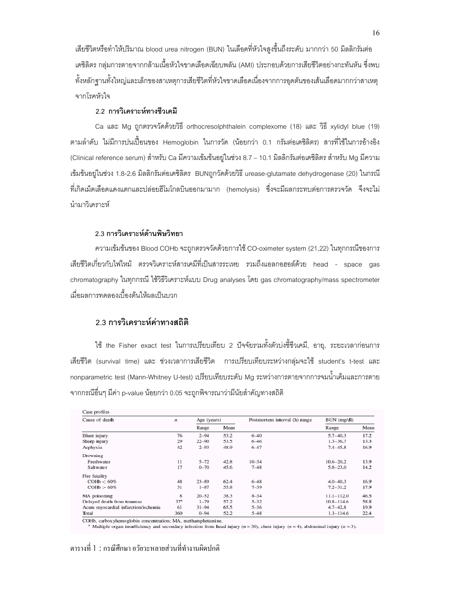เสียชีวิตหรือทำให้ปริมาณ blood urea nitrogen (BUN) ในเลือดที่หัวใจสูงขึ้นถึงระดับ มากกว่า 50 มิลลิกรัมต่อ เดซิลิตร กลุ่มการตายจากกล้ามเนื้อหัวใจขาดเลือดเฉียบพลัน (AMI) ประกอบด้วยการเสียชีวิตอย่างกะทันหัน ซึ่งพบ ทั้งหลักฐานทั้งใหญ่และเล็กของสาเหตุการเสียชีวิตที่หัวใจขาดเลือดเนื่องจากการอุดตันของเส้นเลือดมากกว่าสาเหตุ จากโรคหัวใจ

## 2.2 การวิเคราะห์ทางชีวเคมี

Ca และ Mg ถูกตรวจวัดด้วยวิธี orthocresolphthalein complexome (18) และ วิธี xylidyl blue (19) ตามลำดับ ไม่มีการปนเปื้อนของ Hemoglobin ในการวัด (น้อยกว่า 0.1 กรัมต่อเดซิลิตร) สารที่ใช้ในการอ้างอิง (Clinical reference serum) สำหรับ Ca มีความเข้มข้นอยู่ในช่วง 8.7 – 10.1 มิลลิกรัมต่อเดซิลิตร สำหรับ Mg มีความ เข้มข้นอยู่ในช่วง 1.8-2.6 มิลลิกรัมต่อเดซิลิตร BUNถูกวัดด้วยวิธี urease-glutamate dehydrogenase (20) ในกรณี ี่ที่เกิดเม็ดเลือดแดงแตกและปล่อยฮีโมโกลบินออกมามาก (hemolysis) ซึ่งจะมีผลกระทบต่อการตรวจวัด จึงจะไม่ นำมาวิเคราะห์

## 2.3 การวิเคราะห์ด้านพิษวิทยา

ความเข้มข้นของ Blood COHb จะถูกตรวจวัดด้วยการใช้ CO-oximeter system (21,22) ในทุกกรณีของการ เสียชีวิตเกี่ยวกับไฟไหม้ ตรวจวิเคราะห์สารเคมีที่เป็นสารระเหย รวมถึงแอลกอฮอล์ด้วย head - space gas chromatography ในทุกกรณี ใช้วิธีวิเคราะห์แบบ Drug analyses โดย gas chromatography/mass spectrometer เมื่อผลการทดลองเบื้องต้นให้ผลเป็นบวก

## 2.3 การวิเคราะห์ค่าทางสถิติ

ใช้ the Fisher exact test ในการเปรียบเทียบ 2 ปัจจัยรวมทั้งตัวบ่งชี้ชีวเคมี, อายุ, ระยะเวลาก่อนการ เสียชีวิต (survival time) และ ช่วงเวลาการเสียชีวิต การเปรียบเทียบระหว่างกลุ่มจะใช้ student's t-test และ nonparametric test (Mann-Whitney U-test) เปรียบเทียบระดับ Mg ระหว่างการตายจากการจมน้ำเค็มและการตาย ็จากกรณีอื่นๆ มีค่า p-value น้อยกว่า 0.05 จะถูกพิจารณาว่ามีนัยสำคัญทางสถิติ

| Cause of death                       | $\boldsymbol{n}$ | Age (years) |      | Postmortem interval (h) range | BUN (mg/dl)    |      |
|--------------------------------------|------------------|-------------|------|-------------------------------|----------------|------|
|                                      |                  | Range       | Mean |                               | Range          | Mean |
| Blunt injury                         | 76               | $2 - 94$    | 53.2 | $6 - 40$                      | $5.7 - 40.3$   | 17.2 |
| Sharp injury                         | 29               | $22 - 90$   | 53.5 | $6 - 46$                      | $1.3 - 36.7$   | 13.3 |
| Asphyxia                             | 42               | $2 - 93$    | 48.9 | $6 - 47$                      | $7.4 - 45.8$   | 16.9 |
| Drowning                             |                  |             |      |                               |                |      |
| Freshwater                           | 11               | $5 - 72$    | 42.8 | $10 - 34$                     | $10.6 - 20.2$  | 13.9 |
| Saltwater                            | 17               | $0 - 70$    | 45.6 | $7 - 48$                      | $5.8 - 23.0$   | 14.2 |
| Fire fatality                        |                  |             |      |                               |                |      |
| $COHb < 60\%$                        | 48               | $23 - 89$   | 62.4 | $6 - 48$                      | $4.0 - 40.3$   | 16.9 |
| $COHb > 60\%$                        | 31               | $1 - 87$    | 55.8 | $7 - 39$                      | $7.2 - 31.2$   | 17.9 |
| MA poisoning                         | 8                | $20 - 52$   | 38.3 | $8 - 34$                      | $11.1 - 112.0$ | 46.5 |
| Delayed death from traumas           | 37 <sup>a</sup>  | $1 - 79$    | 57.2 | $5 - 32$                      | $10.8 - 114.6$ | 58.8 |
| Acute myocardial infarction/ischemia | 61               | $31 - 94$   | 65.5 | $5 - 36$                      | $4.7 - 42.8$   | 19.9 |
| Total                                | 360              | $0 - 94$    | 52.2 | $5 - 48$                      | $1.3 - 114.6$  | 22.4 |

COHb, carboxyhemoglobin concentration; MA, methamphetamine.

<sup>a</sup> Multiple organ insufficiency and secondary infection from head injury ( $n = 30$ ), chest injury ( $n = 4$ ), abdominal injury ( $n = 3$ ).

ตารางที่ 1 : กรณีศึกษา อวัยวะหลายส่วนที่ทำงานผิดปกติ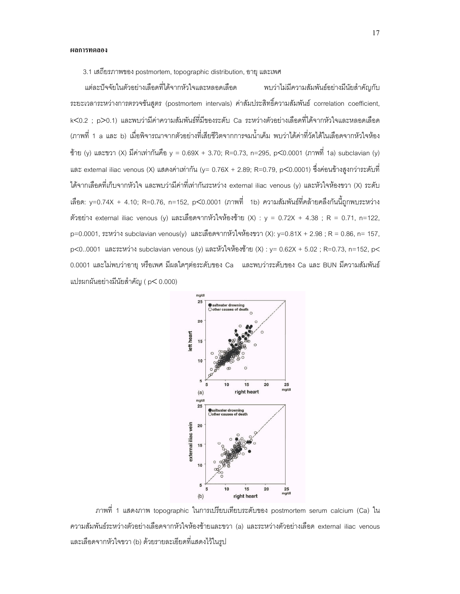3.1 เสถียรภาพของ postmortem, topographic distribution, อายุ และเพศ

่ แต่ละปัจจัยในตัวอย่างเลือดที่ได้จากหัวใจและหลอดเลือด พบว่าไม่มีความสั ัมพันธ์อย่างมีนัยสำคัญกับ  $\ddot{\phantom{a}}$ ระยะเวลาระหว่างการตรวจชันสูตร (postmortem intervals) ค่าสัมประสิทธิ์ความสัมพันธ์ correlation coefficient, k<0.2 ; p>0.1) และพบว่ามีค่าความสัมพันธ์ที่มีของระดับ Ca ระหว่างตัวอย่างเลือดที่ได้จากหัวใจและหลอดเลือด (ภาพที่ 1 a และ b) เมื่อพิจารณาจากตัวอย่างที่เสียชีวิตจากการจมน้ำเค็ม พบว่าได้ค่าที่วัดได้ในเลือดจากหัวใจห้อง ซ้าย (y) และขวา (X) มีค่าเท่ากันคือ y = 0.69X + 3.70; R=0.73, n=295, p<0.0001 (ภาพที่ 1a) subclavian (y) และ external iliac venous (X) แสดงค่าเท่ากัน (y= 0.76X + 2.89; R=0.79, p<0.0001) ซึ่งค่อนข้างสูงกว่าระดับที่ ได้จากเลือดที่เก็บจากหัวใจ และพบว่ามีค่าที่เท่ากันระหว่าง external iliac venous (y) และหัวใจห้องขวา (X) ระดับ เลือด: y=0.74X + 4.10; R=0.76, n=152, p<0.0001 (ภาพที่ 1b) ความสัมพันธ์ที่คล้ายคลึงกันนี้ถูกพบระหว่าง ตัวอย่าง external iliac venous (y) และเลือดจากหัวใจห้องซ้าย (X) : y = 0.72X + 4.38 ; R = 0.71, n=122, p=0.0001, ระหว่าง subclavian venous(y) และเลือดจากหัวใจห้องขวา (X): y=0.81X + 2.98 ; R = 0.86, n= 157, p<0..0001 และระหว่าง subclavian venous (y) และหัวใจห้องซ้าย (X) : y= 0.62X + 5.02 ; R=0.73, n=152, p< 0.0001 และไม่พบว่าอายุ หรือเพศ มีผลใดๆต่อระดับของ Ca และพบว่าระดับของ Ca และ BUN มีความสัมพันธ์ แปรผกผันอย่างมีนัยสำคัญ ( p< 0.000)  $\ddot{\phantom{0}}$ 



ภาพที่ 1 แสดงภาพ topographic ในการเปรียบเทียบระดับของ postmortem serum calcium (Ca) ใน ความสัมพันธ์ระหว่างตัวอย่างเลือดจากหัวใจห้องซ้ายและขวา (a) และระหว่างตัวอย่างเลือด external iliac venous และเลือดจากหัวใจขวา (b) ด้วยรายละเอียดที่แสดงไว้ในรูป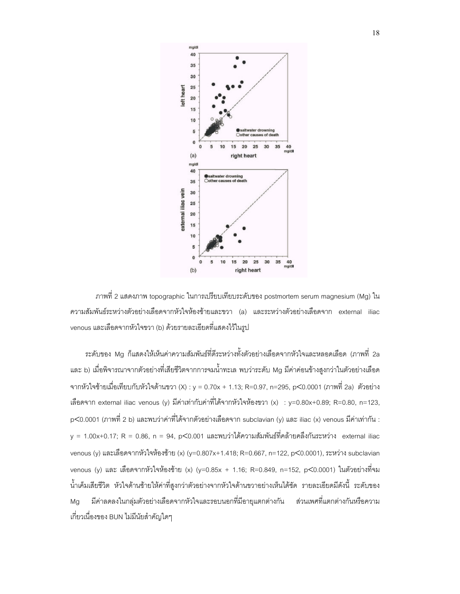

ภาพที่ 2 แสดงภาพ topographic ในการเปรียบเทียบระดับของ postmortem serum magnesium (Mg) ใน ความสัมพันธ์ระหว่างตัวอย่างเลือดจากหัวใจห้องซ้ายและขวา (a) และระหว่างตัวอย่างเลือดจาก external iliac venous และเลือดจากหัวใจขวา (b) ด้วยรายละเอียดที่แสดงไว้ในรูป

ระดับของ Mg ก็แสดงให้เห็นค่าความสัมพันธ์ที่ดีระหว่างทั้งตัวอย่างเลือดจากหัวใจและหลอดเลือด (ภาพที่ 2a และ b) เมื่อพิจารณาจากตัวอย่างที่เสียชีวิตจากการจมน้ำทะเล พบว่าระดับ Mg มีค่าค่อนข้างสูงกว่าในตัวอย่างเลือด จากหัวใจซ้ายเมื่อเทียบกับหัวใจด้านขวา (X) : y = 0.70x + 1.13; R=0.97, n=295, p<0.0001 (ภาพที่ 2a) ตัวอย่าง เลือดจาก external iliac venous (y) มีค่าเท่ากับค่าที่ได้จากหัวใจห้องขวา (x) : y=0.80x+0.89; R=0.80, n=123, p<0.0001 (ภาพที่ 2 b) และพบว่าค่าที่ได้จากตัวอย่างเลือดจาก subclavian (y) และ iliac (x) venous มีค่าเท่ากัน : y = 1.00x+0.17; R = 0.86, n = 94, p<0.001 และพบว่าได้ความสัมพันธ์ที่คล้ายคลึงกันระหว่าง external iliac venous (y) และเลือดจากหัวใจห้องซ้าย (x) (y=0.807x+1.418; R=0.667, n=122, p<0.0001), ระหว่าง subclavian venous (y) และ เลือดจากหัวใจห้องซ้าย (x) (y=0.85x + 1.16; R=0.849, n=152, p<0.0001) ในตัวอย่างที่จม น้ำเค็มเสียชีวิต หัวใจด้านซ้ายให้ค่าที่สูงกว่าตัวอย่างจากหัวใจด้านขวาอย่างเห็นได้ชัด รายละเอียดมีดังนี้ ระดับของ Mg มีค่าลดลงในกลุ่มตัวอย่างเลือดจากหัวใจและรอบนอกที่มีอายุแตกต่างกัน ส่วนเพศที่แตกต่างกันหรือความ เกี่ยวเนื่องของ BUN ไม่มีนัยสำคัญใดๆ  $\ddot{\phantom{0}}$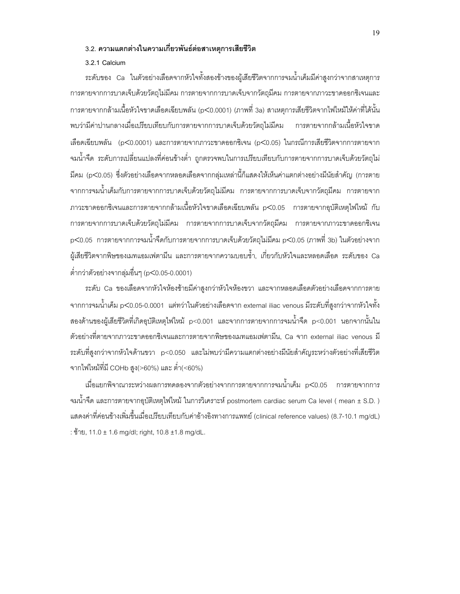#### 3.2. ความแตกต่างในความเกี่ยวพันธ์ต่อสาเหตุการเสียชีวิต

#### 3.2.1 Calcium

่ ระดับของ Ca ในตัวอย่างเลือดจากหัวใจทั้งสองข้างของผู้เสียชีวิตจากการจมน้ำเค็มมีค่าสูงกว่าจากสาเหตุการ การตายจากการบาดเจ็บด้วยวัตถุไม่มีคม การตายจากการบาดเจ็บจากวัตถุมีคม การตายจากภาวะขาดออกซิเจนและ ี การตายจากกล้ามเนื้อหัวใจขาดเลือดเฉียบพลัน (p<0.0001) (ภาพที่ 3a) สาเหตุการเสียชีวิตจากไฟไหม้ให้ค่าที่ได้นั้น พบว่ามีค่าปานกลางเมื่อเปรียบเทียบกับการตายจากการบาดเจ็บด้วยวัตถุไม่มีคม การตายจากกล้ามเนื้อหัวใจขาด เลือดเฉียบพลัน (p<0.0001) และการตายจากภาวะขาดออกซิเจน (p<0.05) ในกรณีการเสียชีวิตจากการตายจาก จมน้ำจืด ระดับการเปลี่ยนแปลงที่ค่อนข้างต่ำ ถูกตรวจพบในการเปรียบเทียบกับการตายจากการบาดเจ็บด้วยวัตถุไม่ ี่ มีคม (p<0.05) ซึ่งตัวอย่างเลือดจากหลอดเลือดจากกลุ่มเหล่านี้ก็แสดงให้เห็นค่าแตกต่างอย่างมีนัยสำคัญ (การตาย ิจากการจมน้ำเค็มกับการตายจากการบาดเจ็บด้วยวัตถุไม่มีคม การตายจากการบาดเจ็บจากวัตถุมีคม การตายจาก ภาวะขาดออกซิเจนและการตายจากกล้ามเนื้อหัวใจขาดเลือดเฉียบพลัน p<0.05 การตายจากอุบัติเหตุไฟไหม้ กับ ิการตายจากการบาดเจ็บด้วยวัตถุไม่มีคม การตายจากการบาดเจ็บจากวัตถุมีคม การตายจากภาวะขาดออกซิเจน p<0.05 การตายจากการจมน้ำจืดกับการตายจากการบาดเจ็บด้วยวัตถุไม่มีคม p<0.05 (ภาพที่ 3b) ในตัวอย่างจาก ผู้เสียชีวิตจากพิษของเมทแอมเฟตามีน และการตายจากความบอบช้ำ, เกี่ยวกับหัวใจและหลอดเลือด ระดับของ Ca ต่ำกว่าตัวอย่างจากลุ่มอื่นๆ (p<0.05-0.0001)

*ระดั*บ Ca ของเลือดจากหัวใจห้องซ้ายมีค่าสูงกว่าหัวใจห้องขวา และจากหลอดเลือดตัวอย่างเลือดจากการตาย ี จากการจมน้ำเค็ม p<0.05-0.0001 แต่ทว่าในตัวอย่างเลือดจาก external iliac venous มีระดับที่สูงกว่าจากหัวใจทั้ง สองด้านของผู้เสียชีวิตที่เกิดอุบัติเหตุไฟไหม้ p<0.001 และจากการตายจากการจมน้ำจืด p<0.001 นอกจากนั้นใน ตัวอย่างที่ตายจากภาวะขาดออกซิเจนและการตายจากพิษของเมทแอมเฟตามีน, Ca จาก external iliac venous มี ระดับที่สูงกว่าจากหัวใจด้านขวา p<0.050 และไม่พบว่ามีความแตกต่างอย่างมีนัยสำคัญระหว่างตัวอย่างที่เสียชีวิต จากไฟไหม้ที่มี COHb สูง(>60%) และ ต่ำ(<60%)

เมื่อแยกพิจาณาระหว่างผลการทดลองจากตัวอย่างจากการตายจากการจมน้ำเค็ม p<0.05 การตายจากการ จมน้ำจืด และการตายจากอุบัติเหตุไฟไหม้ ในการวิเคราะห์ postmortem cardiac serum Ca level ( mean ± S.D. ) แสดงค่าที่ค่อนข้างเพิ่มขึ้นเมื่อเปรียบเทียบกับค่าอ้างอิงทางการแพทย์ (clinical reference values) (8.7-10.1 mg/dL) : ซ้ำย, 11.0 ± 1.6 mg/dl; right, 10.8 ±1.8 mg/dL.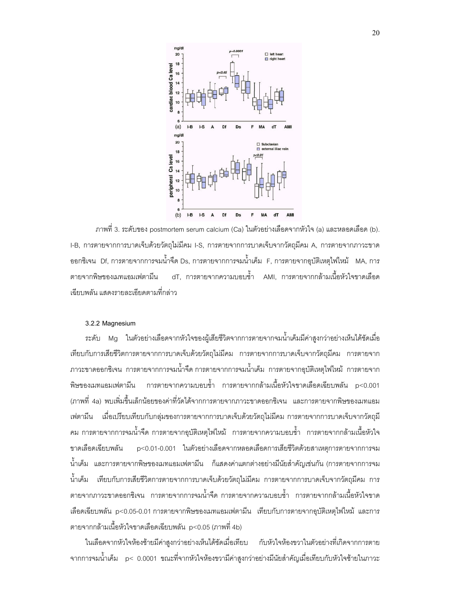

ิ ภาพที่ 3. ระดับของ postmortem serum calcium (Ca) ในตัวอย่างเลือดจากหัวใจ (a) และหลอดเลือด (b). I-B, การตายจากการบาดเจ็บด้วยวัตถุไม่มีคม I-S, การตายจากการบาดเจ็บจากวัตถุมีคม A, การตายจากภาวะขาด ี ออกซิเจน Df, การตายจากการจมน้ำจืด Ds, การตายจากการจมน้ำเค็ม F, การตายจากอบัติเหตไฟไหม้ MA, การ ี dT. การตายจากความบอบช้ำ AMI. การตายจากกล้ามเนื้อหัวใจขาดเลือด ตายจากพิษของเมทแอมเฟตามีน เลียบพลัน แสดงรายละเคียดตามที่กล่าว

#### 3.2.2 Magnesium

่ ระดับ Mg ในตัวอย่างเลือดจากหัวใจของผู้เสียชีวิตจากการตายจากจมน้ำเค็มมีค่าสูงกว่าอย่างเห็นได้ชัดเมื่อ เทียบกับการเสียชีวิตการตายจากการบาดเจ็บด้วยวัตถุไม่มีคม การตายจากการบาดเจ็บจากวัตถุมีคม การตายจาก ิ ภาวะขาดออกซิเจน การตายจากการจมน้ำจืด การตายจากการจมน้ำเค็ม การตายจากอุบัติเหตุไฟไหม้ การตายจาก ี การตายจากความบอบช้ำ การตายจากกล้ามเนื้อหัวใจขาดเลือดเฉียบพลัน p<0.001 พิษของเมทแอมเฟตามีน ้<br>(ภาพที่ 4a) พบเพิ่มขึ้นเล็กน้อยของค่าที่วัดได้จากการตายจากภาวะขาดออกซิเจน และการตายจากพิษของเมทแอม ่ เฟตามีน เมื่อเปรียบเทียบกับกลุ่มของการตายจากการบาดเจ็บด้วยวัตถุไม่มีคม การตายจากการบาดเจ็บจากวัตถุมี ้ คม การตายจากการจมน้ำจืด การตายจากอุบัติเหตุไฟไหม้ การตายจากความบอบช้ำ การตายจากกล้ามเนื้อหัวใจ ขาดเลือดเฉียบพลัน p<0.01-0.001 ในตัวอย่างเลือดจากหลอดเลือดการเสียชีวิตด้วยสาเหตการตายจากการจม ้น้ำเค็ม และการตายจากพิษของเมทแอมเฟตามีน ก็แสดงค่าแตกต่างอย่างมีนัยสำคัญเช่นกัน (การตายจากการจม ้น้ำเค็ม เทียบกับการเสียชีวิตการตายจากการบาดเจ็บด้วยวัตถไม่มีคม การตายจากการบาดเจ็บจากวัตถมีคม การ ้ตายจากภาวะขาดออกซิเจน การตายจากการจมน้ำจืด การตายจากความบอบช้ำ การตายจากกล้ามเนื้อหัวใจขาด เลือดเฉียบพลัน p<0.05-0.01 การตายจากพิษของเมทแอมเฟตามีน เทียบกับการตายจากอุบัติเหตุไฟไหม้ และการ ตายจากกล้ามเนื้อหัวใจขาดเลือดเฉียบพลัน p<0.05 (ภาพที่ 4b)

ในเลือดจากหัวใจห้องซ้ายมีค่าสูงกว่าอย่างเห็นได้ชัดเมื่อเทียบ กับหัวใจห้องขวาในตัวอย่างที่เกิดจากการตาย ี จากการจมน้ำเค็ม p< 0.0001 ขณะที่จากหัวใจห้องขวามีค่าสูงกว่าอย่างมีนัยสำคัญเมื่อเทียบกับหัวใจซ้ายในภาวะ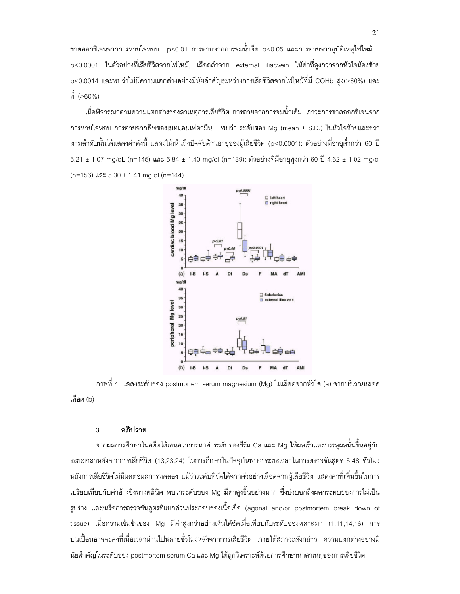ีขาดออกซิเจนจากการหายใจหอบ p<0.01 การตายจากการจมน้ำจืด p<0.05 และการตายจากอุบัติเหตุไฟไหม้ p<0.0001 ในตัวอย่างที่เสียชีวิตจากไฟไหม้, เลือดดำจาก external iliacvein ให้ค่าที่สูงกว่าจากหัวใจห้องซ้าย p<0.0014 และพบว่าไม่มีความแตกต่างอย่างมีนัยสำคัญระหว่างการเสียชีวิตจากไฟไหม้ที่มี COHb สูง(>60%) และ ต่ำ(>60%)

เมื่อพิจารณาตามความแตกต่างของสาเหตุการเสียชีวิต การตายจากการจมน้ำเค็ม, ภาวะการขาดออกซิเจนจาก การหายใจหอบ การตายจากพิษของเมทแอมเฟตามีน พบว่า ระดับของ Mg (mean ± S.D.) ในหัวใจซ้ายและขวา ตามลำดับนั้นได้แสดงค่าดังนี้ แสดงให้เห็นถึงปัจจัยด้านอายุของผู้เสียชีวิต (p<0.0001): ตัวอย่างที่อายุต่ำกว่า 60 ปี 5.21 ± 1.07 mg/dL (n=145) และ 5.84 ± 1.40 mg/dl (n=139); ตัวอย่างที่มีอายุสูงกว่า 60 ปี 4.62 ± 1.02 mg/dl (n=156) และ 5.30 ± 1.41 mg.dl (n=144)



ิภาพที่ 4. แสดงระดับของ postmortem serum magnesium (Mg) ในเลือดจากหัวใจ (a) จากบริเวณหลอด เลือด (b)

#### อภิปราย  $\overline{3}$ .

ี จากผลการศึกษาในอดีตได้เสนอว่าการหาค่าระดับของซีรัม Ca และ Mg ให้ผลเร็วและบรรลุผลนั้นขึ้นอยู่กับ ระยะเวลาหลังจากการเสียชีวิต (13,23,24) ในการศึกษาในปัจจุบันพบว่าระยะเวลาในการตรวจชันสูตร 5-48 ชั่วโมง หลังการเสียชีวิตไม่มีผลต่อผลการทดลอง แม้ว่าระดับที่วัดได้จากตัวอย่างเลือดจากผู้เสียชีวิต แสดงค่าที่เพิ่มขึ้นในการ ิเปรียบเทียบกับค่าอ้างอิงทางคลีนิค พบว่าระดับของ Mg มีค่าสูงขึ้นอย่างมาก ซึ่งบ่งบอกถึงผลกระทบของการไม่เป็น ึ่ฐปร่าง และ/หรือการตรวจชันสูตรที่แยกส่วนประกอบของเนื้อเยื่อ (agonal and/or postmortem break down of tissue) เมื่อความเข้มข้นของ Mg มีค่าสูงกว่าอย่างเห็นได้ชัดเมื่อเทียบกับระดับของพลาสมา (1,11,14,16) การ ปนเปื้อนอาจจะคงที่เมื่อเวลาผ่านไปหลายชั่วโมงหลังจากการเสียชีวิต ภายใต้สภาวะดังกล่าว ความแตกต่างอย่างมี นัยสำคัญในระดับของ postmortem serum Ca และ Mg ได้ถูกวิเคราะห์ด้วยการศึกษาหาสาเหตุของการเสียชีวิต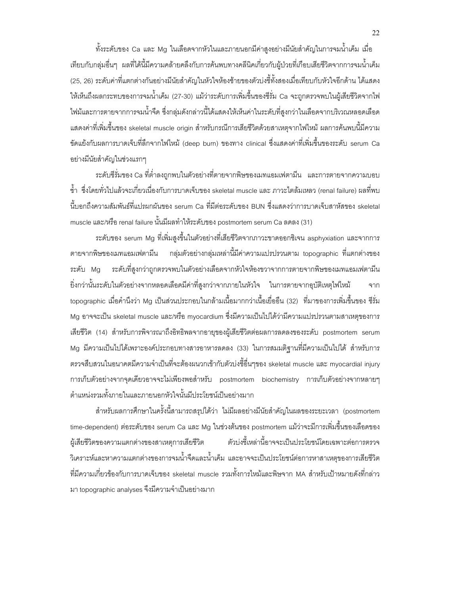ทั้งระดับของ Ca และ Mg ในเลือดจากหัวในและภายนอกมีค่าสูงอย่างมีนัยสำคัญในการจมน้ำเค็ม เมื่อ  $\ddot{\phantom{0}}$ เทียบกับกลุ่มอื่นๆ ผลที่ได้นี้มีความคล้ายคลึงกับการค้นพบทางคลีนิคเกี่ยวกับผู้ป่วยที่เกือบเสียชีวิตจากการจมน้ำเค็ม (25, 26) ระดับค่าที่แตกต่างกันอย่างมีนัยสำคัญในหัวใจห้องซ้ายของตัวบ่งชี้ทั้งสองเมื่อเทียบกับหัวใจอีกด้าน ได้แสดง  $\ddot{\phantom{0}}$ ให้เห็นถึงผลกระทบของการจมน้ำเค็ม (27-30) แม้ว่าระดับการเพิ่มขึ้นของซีรั่ม Ca จะถูกตรวจพบในผู้เสียชีวิตจากไฟ ไฟม้และการตายจากการจมน้ำจืด ซึ่งกลุ่มดังกล่าวนี้ได้แสดงให้เห็นค่าในระดับที่สูงกว่าในเลือดจากบริเวณหลอดเลือด แสดงค่าที่เพิ่มขึ้นของ skeletal muscle origin สำหรับกรณีการเสียชีวิตด้วยสาเหตุจากไฟไหม้ ผลการค้นพบนี้มีความ ขัดแย้งกับผลการบาดเจ็บที่ลึกจากไฟไหม้ (deep burn) ของทาง clinical ซึ่งแสดงค่าที่เพิ่มขึ้นของระดับ serum Ca อย่างมีนัยสำคัญในช่วงแรกๆ  $\ddot{\phantom{0}}$ 

ระดับซีรั่มของ Ca ที่ต่ำลงถูกพบในตัวอย่างที่ตายจากพิษของเมทแอมเฟตามีน และการตายจากความบอบ ช้ำ ซึ่งโดยทั่วไปแล้วจะเกี่ยวเนื่องกับการบาดเจ็บของ skeletal muscle และ ภาวะไตล้มเหลว (renal failure) ผลที่พบ นี้บอกถึงความสัมพันธ์ที่แปรผกผันของ serum Ca ที่มีต่อระดับของ BUN ซึ่งแสดงว่าการบาดเจ็บสาหัสของ skeletal muscle และ/หรือ renal failure นั้นมีผลทำให้ระดับของ postmortem serum Ca ลดลง (31) í

ระดับของ serum Mg ที่เพิ่มสูงขึ้นในตัวอย่างที่เสียชีวิตจากภาวะขาดออกซิเจน asphyxiation และจากการ ตายจากพิษของเมทแอมเฟตามีน กลุ่มตัวอย่างกลุ่มเหล่านี้มีค่าความแปรปรวนตาม topographic ที่แตกต่างของ ระดับ Mg ระดับที่สูงกว่าถูกตรวจพบในตัวอย่างเลือดจากหัวใจห้องขวาจากการตายจากพิษของเมทแอมเฟตามีน ยิ่งกว่านั้นระดับในตัวอย่างจากหลอดเลือดมีค่าที่สูงกว่าจากภายในหัวใจ ในการตายจากอุบัติเหตุไฟไหม้ จาก  $\ddot{\phantom{0}}$ topographic เมื่อคำนึงว่า Mg เป็นส่วนประกอบในกล้ามเนื้อมากกว่าเนื้อเยื่ออืน (32) ที่มาของการเพิ่มขึ้นของ ซีรั่ม Mg อาจจะเป็น skeletal muscle และ/หรือ myocardium ซึ่งมีความเป็นไปได้ว่ามีความแปรปรวนตามสาเหตุของการ เสียชีวิต (14) สำหรับการพิจารณาถึงอิทธิพลจากอายุของผู้เสียชีวิตต่อผลการลดลงของระดับ postmortem serum Mg มีความเป็นไปได้เพราะองค์ประกอบทางสารอาหารลดลง (33) ในการสมมติฐานที่มีความเป็นไปได้ สำหรับการ ตรวจสืบสวนในอนาคตมีความจำเป็นที่จะต้องผนวกเข้ากับตัวบ่งชี้อื่นๆของ skeletal muscle และ myocardial injury การเก็บตัวอย่างจากจุดเดียวอาจจะไม่เพียงพอสำหรับ postmortem biochemistry การเก็บตัวอย่างจากหลายๆ ตำแหน่งรวมทั้งภายในและภายนอกหัวใจนั้นมีประโยชน์เป็นอย่างมาก í

สำหรับผลการศึกษาในครั้งนี้สามารถสรุปได้ว่า ไม่มีผลอย่างมีนัยสำคัญในผลของระยะเวลา (postmortem  $\ddot{\phantom{a}}$ time-dependent) ต่อระดับของ serum Ca และ Mg ในช่วงต้นของ postmortem แม้ว่าจะมีการเพิ่มขึ้นของเลือดของ ผู้เสียชีวิตของความแตกต่างของสาเหตุการเสียชีวิต ้วบ่งชี้เหล่านี้อาจจะเป็นประโยชน์โดยเฉพาะต่อการตรวจ วิเคราะห์และหาความแตกต่างของการจมน้ำจืดและน้ำเค็ม และอาจจะเป็นประโยชน์ต่อการหาสาเหตุของการเสียชีวิต ที่มีความเกี่ยวข้องกับการบาดเจ็บของ skeletal muscle รวมทั้งการไหม้และพิษจาก MA สำหรับเป้าหมายดังที่กล่าว มา topographic analyses จึงมีความจำเป็นอย่างมาก